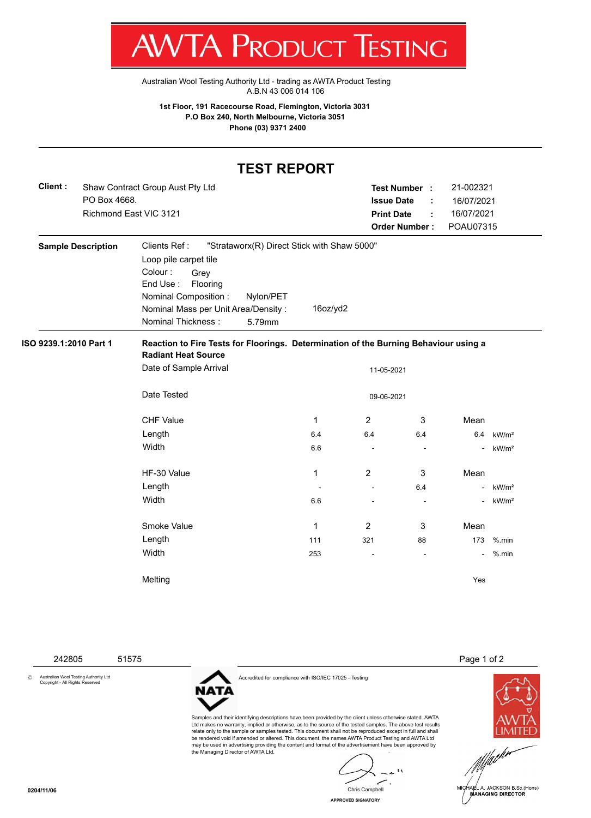T W VIA E RUDUCT IESHING

[Australian Wool Testing Authority Ltd - trading as AWTA Product Testing](http://www.awtaproducttesting.com.au/) A.B.N 43 006 014 106

**1st Floor, 191 Racecourse Road, Flemington, Victoria 3031 P.O Box 240, North Melbourne, Victoria 3051 Phone (03) 9371 2400**

## **TEST REPORT**

| Client : | Shaw Contract Group Aust Pty Ltd | Test Number :        |  | 21-002321  |
|----------|----------------------------------|----------------------|--|------------|
|          | PO Box 4668.                     | <b>Issue Date</b>    |  | 16/07/2021 |
|          | Richmond East VIC 3121           | <b>Print Date</b>    |  | 16/07/2021 |
|          |                                  | <b>Order Number:</b> |  | POAU07315  |

| <b>Sample Description</b> | Clients Ref:<br>Loop pile carpet tile<br>Colour:<br>Grey<br>End Use:<br>Flooring<br><b>Nominal Composition:</b><br>Nominal Mass per Unit Area/Density:<br><b>Nominal Thickness:</b> | Nylon/PET<br>5.79mm | "Strataworx(R) Direct Stick with Shaw 5000"<br>16oz/yd2 |                          |                          |                |                   |
|---------------------------|-------------------------------------------------------------------------------------------------------------------------------------------------------------------------------------|---------------------|---------------------------------------------------------|--------------------------|--------------------------|----------------|-------------------|
| ISO 9239.1:2010 Part 1    | Reaction to Fire Tests for Floorings. Determination of the Burning Behaviour using a<br><b>Radiant Heat Source</b>                                                                  |                     |                                                         |                          |                          |                |                   |
|                           | Date of Sample Arrival                                                                                                                                                              |                     |                                                         | 11-05-2021               |                          |                |                   |
|                           | Date Tested                                                                                                                                                                         |                     |                                                         | 09-06-2021               |                          |                |                   |
|                           | <b>CHF Value</b>                                                                                                                                                                    |                     | 1                                                       | 2                        | 3                        | Mean           |                   |
|                           | Length                                                                                                                                                                              |                     | 6.4                                                     | 6.4                      | 6.4                      | 6.4            | kW/m <sup>2</sup> |
|                           | Width                                                                                                                                                                               |                     | 6.6                                                     | $\overline{\phantom{a}}$ | $\overline{\phantom{a}}$ | $\frac{1}{2}$  | kW/m <sup>2</sup> |
|                           | HF-30 Value                                                                                                                                                                         |                     | 1                                                       | $\overline{2}$           | 3                        | Mean           |                   |
|                           | Length                                                                                                                                                                              |                     |                                                         | $\overline{\phantom{a}}$ | 6.4                      | ٠              | kW/m <sup>2</sup> |
|                           | Width                                                                                                                                                                               |                     | 6.6                                                     |                          |                          | $\blacksquare$ | kW/m <sup>2</sup> |
|                           | Smoke Value                                                                                                                                                                         |                     | 1                                                       | $\overline{2}$           | 3                        | Mean           |                   |
|                           | Length                                                                                                                                                                              |                     | 111                                                     | 321                      | 88                       | 173            | $%$ .min          |
|                           | Width                                                                                                                                                                               |                     | 253                                                     |                          |                          | $\blacksquare$ | %.min             |
|                           | Melting                                                                                                                                                                             |                     |                                                         |                          |                          | Yes            |                   |

© Australian Wool Testing Authority Ltd Copyright - All Rights Reserved



Accredited for compliance with ISO/IEC 17025 - Testing

Samples and their identifying descriptions have been provided by the client unless otherwise stated. AWTA Ltd makes no warranty, implied or otherwise, as to the source of the tested samples. The above test results relate only to the sample or samples tested. This document shall not be reproduced except in full and shall be rendered void if amended or altered. This document, the names AWTA Product Testing and AWTA Ltd may be used in advertising providing the content and format of the advertisement have been approved by the Managing Director of AWTA Ltd.

 $\mathbf{A}$ Chris Campbell

**APPROVED SIGNATORY**